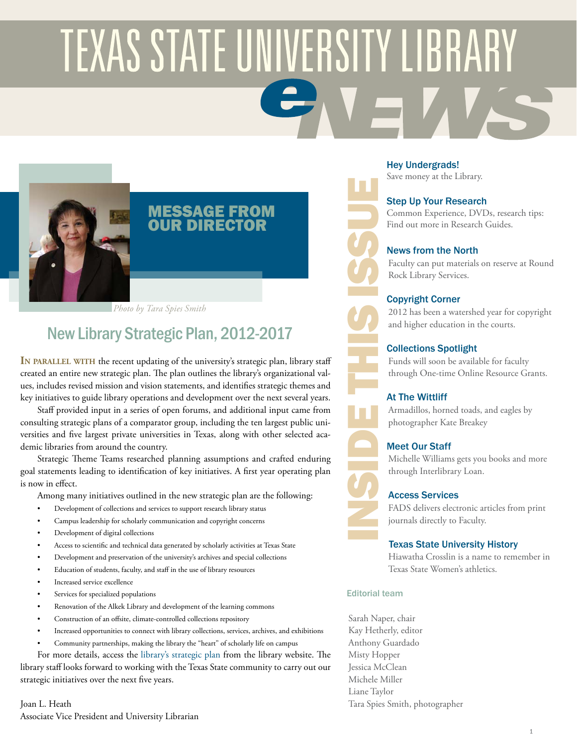# **TEXAS STATE UNIVERSITY LIBRARY**



#### MESSAGE FROM OUR DIRECTOR

*Photo by Tara Spies Smith*

# New Library Strategic Plan, 2012-2017

**In parallel with** the recent updating of the university's strategic plan, library staff created an entire new strategic plan. The plan outlines the library's organizational values, includes revised mission and vision statements, and identifies strategic themes and key initiatives to guide library operations and development over the next several years.

Staff provided input in a series of open forums, and additional input came from consulting strategic plans of a comparator group, including the ten largest public universities and five largest private universities in Texas, along with other selected academic libraries from around the country.

Strategic Theme Teams researched planning assumptions and crafted enduring goal statements leading to identification of key initiatives. A first year operating plan is now in effect.

Among many initiatives outlined in the new strategic plan are the following:

- Development of collections and services to support research library status
- Campus leadership for scholarly communication and copyright concerns
- Development of digital collections
- Access to scientific and technical data generated by scholarly activities at Texas State
- Development and preservation of the university's archives and special collections
- Education of students, faculty, and staff in the use of library resources
- Increased service excellence
- Services for specialized populations
- Renovation of the Alkek Library and development of the learning commons
- Construction of an offsite, climate-controlled collections repository
- Increased opportunities to connect with library collections, services, archives, and exhibitions
- Community partnerships, making the library the "heart" of scholarly life on campus

For more details, access the [library's strategic plan](http://www.library.txstate.edu/about/strategic-plan.html) from the library website. The library staff looks forward to working with the Texas State community to carry out our strategic initiatives over the next five years.

Joan L. Heath Associate Vice President and University Librarian

#### [Hey Undergrads!](#page-1-0)

Save money at the Library.

#### [Step Up Your Research](#page-1-1)

Common Experience, DVDs, research tips: Find out more in Research Guides.

#### [News from the North](#page-2-0)

Faculty can put materials on reserve at Round Rock Library Services.

#### [Copyright Corner](#page-2-1)

2012 has been a watershed year for copyright and higher education in the courts.

#### [Collections Spotlight](#page-3-0)

Funds will soon be available for faculty through One-time Online Resource Grants.

#### [At The Wittliff](#page-3-1)

Armadillos, horned toads, and eagles by photographer Kate Breakey

#### [Meet Our Staff](#page-4-0)

Michelle Williams gets you books and more through Interlibrary Loan.

#### [Access Services](#page-4-1)

FADS delivers electronic articles from print journals directly to Faculty.

#### [Texas State University History](#page-5-0)

Hiawatha Crosslin is a name to remember in Texas State Women's athletics.

#### Editorial team

INSIDE THIS ISSUE

Sarah Naper, chair Kay Hetherly, editor Anthony Guardado Misty Hopper Jessica McClean Michele Miller Liane Taylor Tara Spies Smith, photographer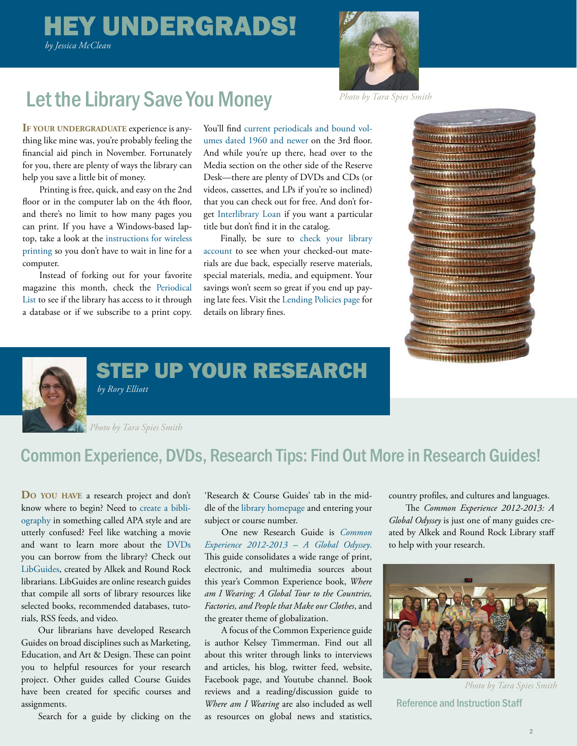# <span id="page-1-0"></span> HEY UNDERGRADS! *by Jessica McClean*



# Let the Library Save You Money *Photo by Tara Spies Smith*

**If your undergraduate** experience is anything like mine was, you're probably feeling the financial aid pinch in November. Fortunately for you, there are plenty of ways the library can help you save a little bit of money.

Printing is free, quick, and easy on the 2nd floor or in the computer lab on the 4th floor, and there's no limit to how many pages you can print. If you have a Windows-based laptop, take a look at the [instructions for wireless](http://www.library.txstate.edu/computers/wireless-printing.html)  [printing](http://www.library.txstate.edu/computers/wireless-printing.html) so you don't have to wait in line for a computer.

Instead of forking out for your favorite magazine this month, check the [Periodical](http://atoz.ebsco.com/Customization/Tab/3402?tabId=6463)  [List](http://atoz.ebsco.com/Customization/Tab/3402?tabId=6463) to see if the library has access to it through a database or if we subscribe to a print copy.

You'll find [current periodicals and bound vol](http://www.library.txstate.edu/about/departments/per.html)[umes dated 1960 and newer](http://www.library.txstate.edu/about/departments/per.html) on the 3rd floor. And while you're up there, head over to the Media section on the other side of the Reserve Desk—there are plenty of DVDs and CDs (or videos, cassettes, and LPs if you're so inclined) that you can check out for free. And don't forget [Interlibrary Loan](http://www.library.txstate.edu/about/departments/ill.html) if you want a particular title but don't find it in the catalog.

Finally, be sure to [check your library](https://catalog.library.txstate.edu/patroninfo) [account](https://catalog.library.txstate.edu/patroninfo) to see when your checked-out materials are due back, especially reserve materials, special materials, media, and equipment. Your savings won't seem so great if you end up paying late fees. Visit the [Lending Policies page](http://www.library.txstate.edu/about/departments/circ/lending-pol.html) for details on library fines.



<span id="page-1-1"></span>

STEP UP YOUR RESEARCH

*by Rory Elliott*

*Photo by Tara Spies Smith*

# Common Experience, DVDs, Research Tips: Find Out More in Research Guides!

**Do you have** a research project and don't know where to begin? Need to [create a bibli](http://libguides.txstate.edu/writing-citation-style-guide)[ography](http://libguides.txstate.edu/writing-citation-style-guide) in something called APA style and are utterly confused? Feel like watching a movie and want to learn more about the [DVDs](http://libguides.txstate.edu/content.php?pid=208562) you can borrow from the library? Check out [LibGuides,](libguides.txstate.edu) created by Alkek and Round Rock librarians. LibGuides are online research guides that compile all sorts of library resources like selected books, recommended databases, tutorials, RSS feeds, and video.

Our librarians have developed Research Guides on broad disciplines such as Marketing, Education, and Art & Design. These can point you to helpful resources for your research project. Other guides called Course Guides have been created for specific courses and assignments.

Search for a guide by clicking on the

'Research & Course Guides' tab in the middle of the [library homepage a](http://www.library.txstate.edu/)nd entering your subject or course number.

One new Research Guide is *[Common](http://libguides.txstate.edu/content.php?pid=331170)  [Experience 2012-2013 – A Global Odyssey](http://libguides.txstate.edu/content.php?pid=331170)*. This guide consolidates a wide range of print, electronic, and multimedia sources about this year's Common Experience book, *Where am I Wearing: A Global Tour to the Countries, Factories, and People that Make our Clothes*, and the greater theme of globalization.

A focus of the Common Experience guide is author Kelsey Timmerman. Find out all about this writer through links to interviews and articles, his blog, twitter feed, website, Facebook page, and Youtube channel. Book reviews and a reading/discussion guide to *Where am I Wearing* are also included as well as resources on global news and statistics,

country profiles, and cultures and languages.

The *Common Experience 2012-2013: A Global Odyssey* is just one of many guides created by Alkek and Round Rock Library staff to help with your research.



*Photo by Tara Spies Smith*

Reference and Instruction Staff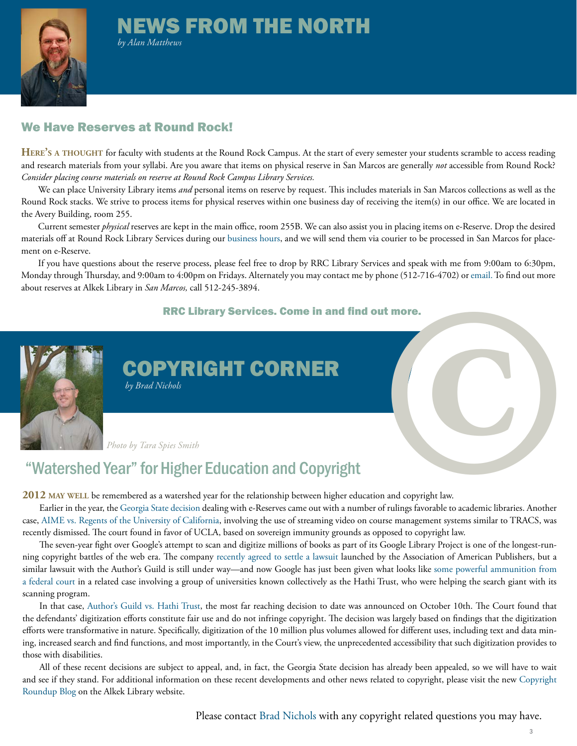# <span id="page-2-0"></span>NEWS FROM THE NORTH



*by Alan Matthews*

#### We Have Reserves at Round Rock!

**Here's a thought** for faculty with students at the Round Rock Campus. At the start of every semester your students scramble to access reading and research materials from your syllabi. Are you aware that items on physical reserve in San Marcos are generally *not* accessible from Round Rock? *Consider placing course materials on reserve at Round Rock Campus Library Services.*

We can place University Library items *and* personal items on reserve by request. This includes materials in San Marcos collections as well as the Round Rock stacks. We strive to process items for physical reserves within one business day of receiving the item(s) in our office. We are located in the Avery Building, room 255.

Current semester *physical* reserves are kept in the main office, room 255B. We can also assist you in placing items on e-Reserve. Drop the desired materials off at Round Rock Library Services during our [business hours](http://rrc.library.txstate.edu/about/hours.html), and we will send them via courier to be processed in San Marcos for placement on e-Reserve.

If you have questions about the reserve process, please feel free to drop by RRC Library Services and speak with me from 9:00am to 6:30pm, Monday through Thursday, and 9:00am to 4:00pm on Fridays. Alternately you may contact me by phone (512-716-4702) or [email.](mailto:rm67%40txstate.edu%0D?subject=) To find out more about reserves at Alkek Library in *San Marcos,* call 512-245-3894.

#### RRC Library Services. Come in and find out more.



<span id="page-2-1"></span>COPYRIGHT CORNER  *by Brad Nichols*

*Photo by Tara Spies Smith*

# "Watershed Year" for Higher Education and Copyright

**2012 may well** be remembered as a watershed year for the relationship between higher education and copyright law.

case, [AIME vs. Regents of the University of California](http://chronicle.com/blogs/wiredcampus/judge-dismisses-lawsuit-against-ucla-over-use-of-streaming-video/33513%20) , involving the use of streaming video on course management systems similar to TRACS, was recently dismissed. The court found in favor of UCLA, based on sovereign immunity grounds as opposed to copyright law. Earlier in the year, the [Georgia State decision](http://www.tc.umn.edu/~nasims/GSU-opinion.pdf) dealing with e-Reserves came out with a number of rulings favorable to academic libraries. Another **©**

The seven-year fight over Google's attempt to scan and digitize millions of books as part of its Google Library Project is one of the longest-run ning copyright battles of the web era. The company [recently agreed to settle a lawsuit](http://paidcontent.org/2012/10/04/google-and-publishers-settle-book-scanning-lawsuit/) launched by the Association of American Publishers, but a similar lawsuit with the Author's Guild is still under way—and now Google has just been given what looks like [some powerful ammunition from](http://arstechnica.com/tech-policy/2012/10/court-rules-book-scanning-is-fair-use-suggesting-google-books-victory/)  [a federal court i](http://arstechnica.com/tech-policy/2012/10/court-rules-book-scanning-is-fair-use-suggesting-google-books-victory/)n a related case involving a group of universities known collectively as the Hathi Trust, who were helping the search giant with its scanning program.

In that case, [Author's Guild vs. Hathi Trust,](http://www.scribd.com/doc/109647049/HathiTrust-Opinion) the most far reaching decision to date was announced on October 10th. The Court found that the defendants' digitization efforts constitute fair use and do not infringe copyright. The decision was largely based on findings that the digitization efforts were transformative in nature. Specifically, digitization of the 10 million plus volumes allowed for different uses, including text and data mining, increased search and find functions, and most importantly, in the Court's view, the unprecedented accessibility that such digitization provides to those with disabilities.

All of these recent decisions are subject to appeal, and, in fact, the Georgia State decision has already been appealed, so we will have to wait and see if they stand. For additional information on these recent developments and other news related to copyright, please visit the new [Copyright](http://copyrightroundup.wordpress.com/)  [Roundup Blog](http://copyrightroundup.wordpress.com/) on the Alkek Library website.

Please contact [Brad Nichols](mailto:jbn16%40txstate.edu?subject=) with any copyright related questions you may have.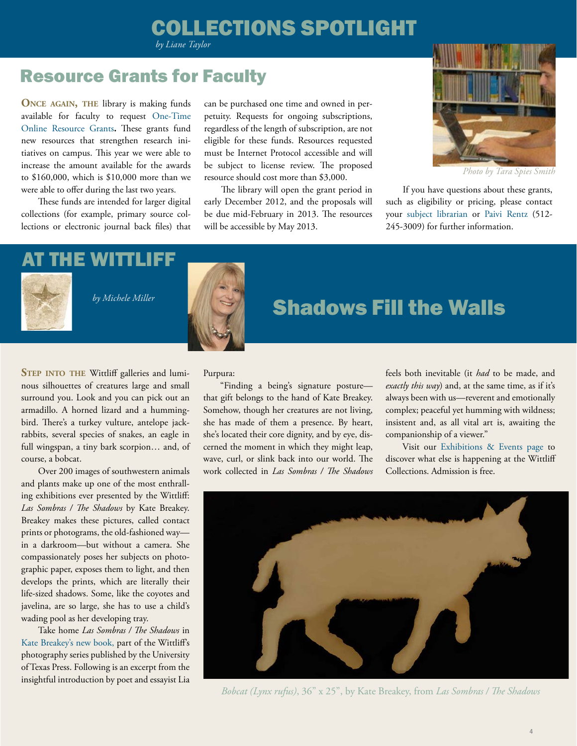# COLLECTIONS SPOTLIGHT

*by Liane Taylor*

## Resource Grants for Faculty

**Once again, the** library is making funds available for faculty to request [One-Time](http://www.library.txstate.edu/services/faculty/onetimegrants.html) [Online Resource Grants](http://www.library.txstate.edu/services/faculty/onetimegrants.html)**.** These grants fund new resources that strengthen research initiatives on campus. This year we were able to increase the amount available for the awards to \$160,000, which is \$10,000 more than we were able to offer during the last two years.

These funds are intended for larger digital collections (for example, primary source collections or electronic journal back files) that can be purchased one time and owned in perpetuity. Requests for ongoing subscriptions, regardless of the length of subscription, are not eligible for these funds. Resources requested must be Internet Protocol accessible and will be subject to license review. The proposed resource should cost more than \$3,000.

The library will open the grant period in early December 2012, and the proposals will be due mid-February in 2013. The resources will be accessible by May 2013.

<span id="page-3-0"></span>

*Photo by Tara Spies Smith*

If you have questions about these grants, such as eligibility or pricing, please contact your [subject librarian](http://www.library.txstate.edu/about/departments/acq/colldev/liaisons.html) or [Paivi Rentz](mailto:%20pr11%40txstate.edu?subject=) (512- 245-3009) for further information.

# <span id="page-3-1"></span>AT THE WITTLIFF



#### *by Michele Miller*





# Shadows Fill the Walls

**STEP INTO THE Wittliff galleries and lumi**nous silhouettes of creatures large and small surround you. Look and you can pick out an armadillo. A horned lizard and a hummingbird. There's a turkey vulture, antelope jackrabbits, several species of snakes, an eagle in full wingspan, a tiny bark scorpion… and, of course, a bobcat.

Over 200 images of southwestern animals and plants make up one of the most enthralling exhibitions ever presented by the Wittliff: *Las Sombras / The Shadows* by Kate Breakey. Breakey makes these pictures, called contact prints or photograms, the old-fashioned way in a darkroom—but without a camera. She compassionately poses her subjects on photographic paper, exposes them to light, and then develops the prints, which are literally their life-sized shadows. Some, like the coyotes and javelina, are so large, she has to use a child's wading pool as her developing tray.

Take home *Las Sombras / The Shadows* in [Kate Breakey's new book,](http://www.utexas.edu/utpress/books/brelas.html) part of the Wittliff's photography series published by the University of Texas Press. Following is an excerpt from the insightful introduction by poet and essayist Lia

Purpura:

"Finding a being's signature posture that gift belongs to the hand of Kate Breakey. Somehow, though her creatures are not living, she has made of them a presence. By heart, she's located their core dignity, and by eye, discerned the moment in which they might leap, wave, curl, or slink back into our world. The work collected in *Las Sombras / The Shadows*  feels both inevitable (it *had* to be made, and *exactly this way*) and, at the same time, as if it's always been with us—reverent and emotionally complex; peaceful yet humming with wildness; insistent and, as all vital art is, awaiting the companionship of a viewer."

Visit our [Exhibitions & Events page](http://www.thewittliffcollections.txstate.edu/exhibitions-events.html) to discover what else is happening at the Wittliff Collections. Admission is free.



*Bobcat (Lynx rufus)*, 36" x 25", by Kate Breakey, from *Las Sombras / The Shadows*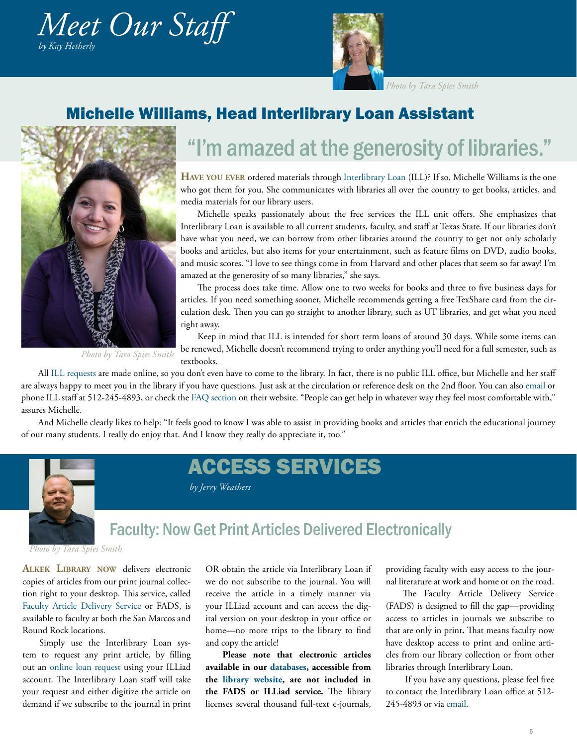<span id="page-4-0"></span>



*Photo by Tara Spies Smith*

#### Michelle Williams, Head Interlibrary Loan Assistant



# "I'm amazed at the generosity of libraries."

**Have you ever** ordered materials through [Interlibrary Loan](http://www.library.txstate.edu/about/departments/ill.html) (ILL)? If so, Michelle Williams is the one who got them for you. She communicates with libraries all over the country to get books, articles, and media materials for our library users.

Michelle speaks passionately about the free services the ILL unit offers. She emphasizes that Interlibrary Loan is available to all current students, faculty, and staff at Texas State. If our libraries don't have what you need, we can borrow from other libraries around the country to get not only scholarly books and articles, but also items for your entertainment, such as feature films on DVD, audio books, and music scores. "I love to see things come in from Harvard and other places that seem so far away! I'm amazed at the generosity of so many libraries," she says.

The process does take time. Allow one to two weeks for books and three to five business days for articles. If you need something sooner, Michelle recommends getting a free TexShare card from the circulation desk. Then you can go straight to another library, such as UT libraries, and get what you need right away.

*Photo by Tara Spies Smith*

Keep in mind that ILL is intended for short term loans of around 30 days. While some items can be renewed, Michelle doesn't recommend trying to order anything you'll need for a full semester, such as textbooks.

All [ILL requests](https://illiad.library.txstate.edu/illiad/) are made online, so you don't even have to come to the library. In fact, there is no public ILL office, but Michelle and her staff are always happy to meet you in the library if you have questions. Just ask at the circulation or reference desk on the 2nd floor. You can also [email](mailto:mw17%40txstate.edu?subject=) or phone ILL staff at 512-245-4893, or check the [FAQ section](http://www.library.txstate.edu/about/departments/ill/faq-ill.html) on their website. "People can get help in whatever way they feel most comfortable with," assures Michelle.

And Michelle clearly likes to help: "It feels good to know I was able to assist in providing books and articles that enrich the educational journey of our many students. I really do enjoy that. And I know they really do appreciate it, too."

ACCESS SERVICES



*by Jerry Weathers*

# Faculty: Now Get Print Articles Delivered Electronically

*Photo by Tara Spies Smith*

**Alkek Library now** delivers electronic copies of articles from our print journal collection right to your desktop. This service, called [Faculty Article Delivery Service o](http://www.library.txstate.edu/about/departments/ill/fads.html)r FADS, is available to faculty at both the San Marcos and Round Rock locations.

Simply use the Interlibrary Loan system to request any print article, by filling out an [online loan request](https://illiad.library.txstate.edu/illiad/) using your ILLiad account. The Interlibrary Loan staff will take your request and either digitize the article on demand if we subscribe to the journal in print

OR obtain the article via Interlibrary Loan if we do not subscribe to the journal. You will receive the article in a timely manner via your ILLiad account and can access the digital version on your desktop in your office or home—no more trips to the library to find and copy the article!

**Please note that electronic articles available in our [databases](http://catalog.library.txstate.edu/search/y), accessible from the [library website,](http://www.library.txstate.edu/) are not included in the FADS or ILLiad service.** The library licenses several thousand full-text e-journals,

<span id="page-4-1"></span>providing faculty with easy access to the journal literature at work and home or on the road.

The Faculty Article Delivery Service (FADS) is designed to fill the gap—providing access to articles in journals we subscribe to that are only in print**.** That means faculty now have desktop access to print and online articles from our library collection or from other libraries through Interlibrary Loan.

 If you have any questions, please feel free to contact the Interlibrary Loan office at 512- 245-4893 or via [email.](mailto:mw17%40txstate.edu.%20%20?subject=)